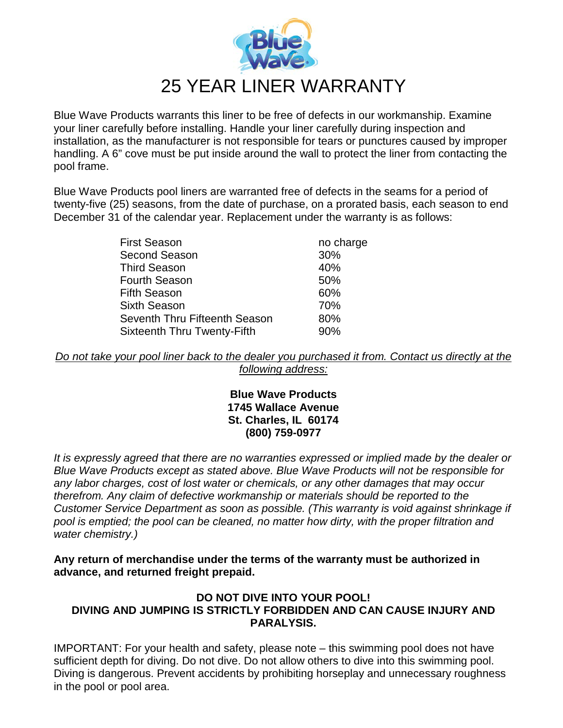

Blue Wave Products warrants this liner to be free of defects in our workmanship. Examine your liner carefully before installing. Handle your liner carefully during inspection and installation, as the manufacturer is not responsible for tears or punctures caused by improper handling. A 6" cove must be put inside around the wall to protect the liner from contacting the pool frame.

Blue Wave Products pool liners are warranted free of defects in the seams for a period of twenty-five (25) seasons, from the date of purchase, on a prorated basis, each season to end December 31 of the calendar year. Replacement under the warranty is as follows:

| <b>First Season</b>                | no charge |
|------------------------------------|-----------|
| <b>Second Season</b>               | 30%       |
| <b>Third Season</b>                | 40%       |
| <b>Fourth Season</b>               | 50%       |
| <b>Fifth Season</b>                | 60%       |
| <b>Sixth Season</b>                | 70%       |
| Seventh Thru Fifteenth Season      | 80%       |
| <b>Sixteenth Thru Twenty-Fifth</b> | 90%       |
|                                    |           |

*Do not take your pool liner back to the dealer you purchased it from. Contact us directly at the following address:*

## **Blue Wave Products 1745 Wallace Avenue St. Charles, IL 60174 (800) 759-0977**

*It is expressly agreed that there are no warranties expressed or implied made by the dealer or Blue Wave Products except as stated above. Blue Wave Products will not be responsible for any labor charges, cost of lost water or chemicals, or any other damages that may occur therefrom. Any claim of defective workmanship or materials should be reported to the Customer Service Department as soon as possible. (This warranty is void against shrinkage if pool is emptied; the pool can be cleaned, no matter how dirty, with the proper filtration and water chemistry.)*

**Any return of merchandise under the terms of the warranty must be authorized in advance, and returned freight prepaid.**

## **DO NOT DIVE INTO YOUR POOL! DIVING AND JUMPING IS STRICTLY FORBIDDEN AND CAN CAUSE INJURY AND PARALYSIS.**

IMPORTANT: For your health and safety, please note – this swimming pool does not have sufficient depth for diving. Do not dive. Do not allow others to dive into this swimming pool. Diving is dangerous. Prevent accidents by prohibiting horseplay and unnecessary roughness in the pool or pool area.